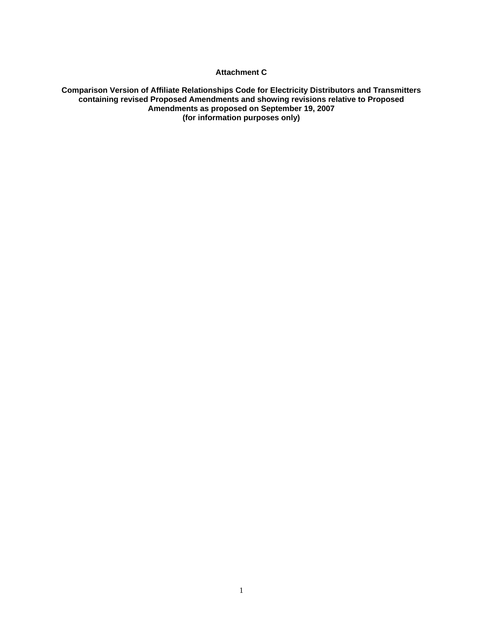#### **Attachment C**

#### **Comparison Version of Affiliate Relationships Code for Electricity Distributors and Transmitters containing revised Proposed Amendments and showing revisions relative to Proposed Amendments as proposed on September 19, 2007 (for information purposes only)**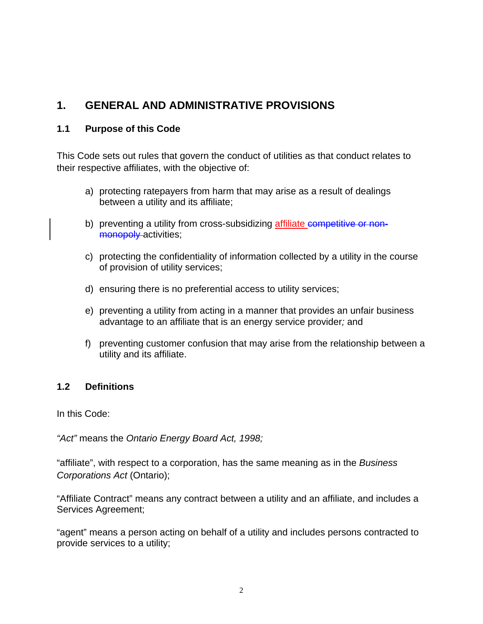# **1. GENERAL AND ADMINISTRATIVE PROVISIONS**

## **1.1 Purpose of this Code**

This Code sets out rules that govern the conduct of utilities as that conduct relates to their respective affiliates, with the objective of:

- a) protecting ratepayers from harm that may arise as a result of dealings between a utility and its affiliate;
- b) preventing a utility from cross-subsidizing affiliate competitive or nonmonopoly activities;
- c) protecting the confidentiality of information collected by a utility in the course of provision of utility services;
- d) ensuring there is no preferential access to utility services;
- e) preventing a utility from acting in a manner that provides an unfair business advantage to an affiliate that is an energy service provider*;* and
- f) preventing customer confusion that may arise from the relationship between a utility and its affiliate.

## **1.2 Definitions**

In this Code:

*"Act"* means the *Ontario Energy Board Act, 1998;* 

"affiliate", with respect to a corporation, has the same meaning as in the *Business Corporations Act* (Ontario);

"Affiliate Contract" means any contract between a utility and an affiliate, and includes a Services Agreement;

"agent" means a person acting on behalf of a utility and includes persons contracted to provide services to a utility;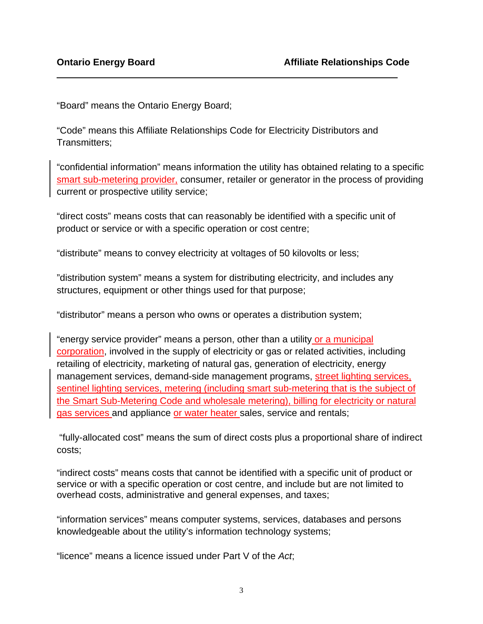"Board" means the Ontario Energy Board;

"Code" means this Affiliate Relationships Code for Electricity Distributors and Transmitters;

"confidential information" means information the utility has obtained relating to a specific smart sub-metering provider, consumer, retailer or generator in the process of providing current or prospective utility service;

"direct costs" means costs that can reasonably be identified with a specific unit of product or service or with a specific operation or cost centre;

"distribute" means to convey electricity at voltages of 50 kilovolts or less;

"distribution system" means a system for distributing electricity, and includes any structures, equipment or other things used for that purpose;

"distributor" means a person who owns or operates a distribution system;

"energy service provider" means a person, other than a utility or a municipal corporation, involved in the supply of electricity or gas or related activities, including retailing of electricity, marketing of natural gas, generation of electricity, energy management services, demand-side management programs, street lighting services, sentinel lighting services, metering (including smart sub-metering that is the subject of the Smart Sub-Metering Code and wholesale metering), billing for electricity or natural gas services and appliance or water heater sales, service and rentals;

 "fully-allocated cost" means the sum of direct costs plus a proportional share of indirect costs;

"indirect costs" means costs that cannot be identified with a specific unit of product or service or with a specific operation or cost centre, and include but are not limited to overhead costs, administrative and general expenses, and taxes;

"information services" means computer systems, services, databases and persons knowledgeable about the utility's information technology systems;

"licence" means a licence issued under Part V of the *Act*;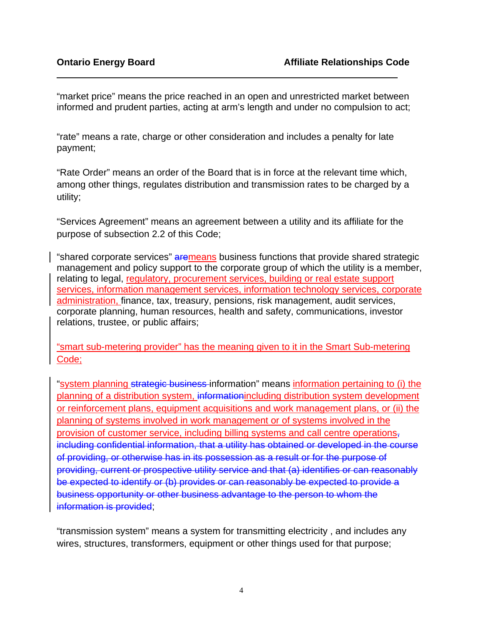"market price" means the price reached in an open and unrestricted market between informed and prudent parties, acting at arm's length and under no compulsion to act;

"rate" means a rate, charge or other consideration and includes a penalty for late payment;

"Rate Order" means an order of the Board that is in force at the relevant time which, among other things, regulates distribution and transmission rates to be charged by a utility;

"Services Agreement" means an agreement between a utility and its affiliate for the purpose of subsection 2.2 of this Code;

"shared corporate services" aremeans business functions that provide shared strategic management and policy support to the corporate group of which the utility is a member, relating to legal, regulatory, procurement services, building or real estate support services, information management services, information technology services, corporate administration, finance, tax, treasury, pensions, risk management, audit services, corporate planning, human resources, health and safety, communications, investor relations, trustee, or public affairs;

"smart sub-metering provider" has the meaning given to it in the Smart Sub-metering Code;

"system planning strategic business information" means information pertaining to (i) the planning of a distribution system, informationincluding distribution system development or reinforcement plans, equipment acquisitions and work management plans, or (ii) the planning of systems involved in work management or of systems involved in the provision of customer service, including billing systems and call centre operations, including confidential information, that a utility has obtained or developed in the course of providing, or otherwise has in its possession as a result or for the purpose of providing, current or prospective utility service and that (a) identifies or can reasonably be expected to identify or (b) provides or can reasonably be expected to provide a business opportunity or other business advantage to the person to whom the information is provided;

"transmission system" means a system for transmitting electricity , and includes any wires, structures, transformers, equipment or other things used for that purpose;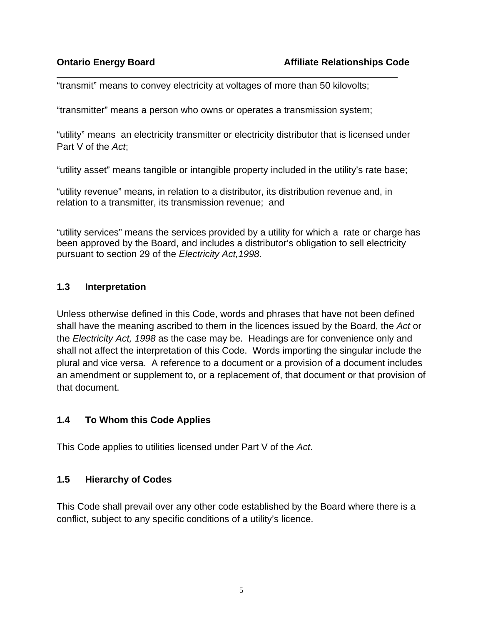"transmit" means to convey electricity at voltages of more than 50 kilovolts;

"transmitter" means a person who owns or operates a transmission system;

"utility" means an electricity transmitter or electricity distributor that is licensed under Part V of the *Act*;

"utility asset" means tangible or intangible property included in the utility's rate base;

"utility revenue" means, in relation to a distributor, its distribution revenue and, in relation to a transmitter, its transmission revenue; and

"utility services" means the services provided by a utility for which a rate or charge has been approved by the Board, and includes a distributor's obligation to sell electricity pursuant to section 29 of the *Electricity Act,1998.* 

#### **1.3 Interpretation**

Unless otherwise defined in this Code, words and phrases that have not been defined shall have the meaning ascribed to them in the licences issued by the Board, the *Act* or the *Electricity Act, 1998* as the case may be. Headings are for convenience only and shall not affect the interpretation of this Code. Words importing the singular include the plural and vice versa. A reference to a document or a provision of a document includes an amendment or supplement to, or a replacement of, that document or that provision of that document.

#### **1.4 To Whom this Code Applies**

This Code applies to utilities licensed under Part V of the *Act*.

## **1.5 Hierarchy of Codes**

This Code shall prevail over any other code established by the Board where there is a conflict, subject to any specific conditions of a utility's licence.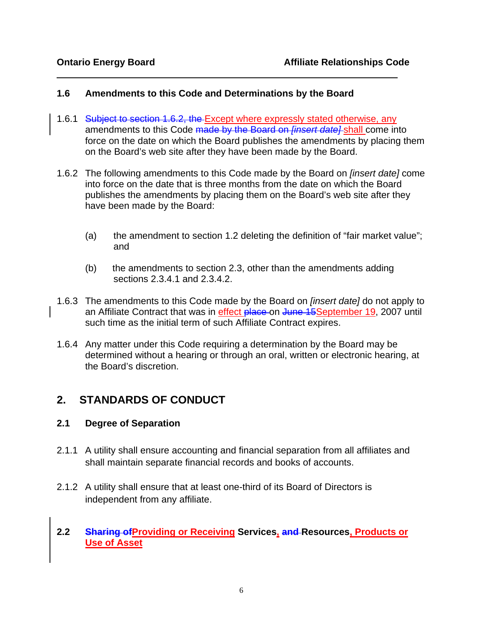## **1.6 Amendments to this Code and Determinations by the Board**

- 1.6.1 Subject to section 1.6.2, the Except where expressly stated otherwise, any amendments to this Code made by the Board on *[insert date]* shall come into force on the date on which the Board publishes the amendments by placing them on the Board's web site after they have been made by the Board.
- 1.6.2 The following amendments to this Code made by the Board on *[insert date]* come into force on the date that is three months from the date on which the Board publishes the amendments by placing them on the Board's web site after they have been made by the Board:
	- (a) the amendment to section 1.2 deleting the definition of "fair market value"; and
	- (b) the amendments to section 2.3, other than the amendments adding sections 2.3.4.1 and 2.3.4.2.
- 1.6.3 The amendments to this Code made by the Board on *[insert date]* do not apply to an Affiliate Contract that was in effect place on June 15 September 19, 2007 until such time as the initial term of such Affiliate Contract expires.
- 1.6.4 Any matter under this Code requiring a determination by the Board may be determined without a hearing or through an oral, written or electronic hearing, at the Board's discretion.

# **2. STANDARDS OF CONDUCT**

#### **2.1 Degree of Separation**

- 2.1.1 A utility shall ensure accounting and financial separation from all affiliates and shall maintain separate financial records and books of accounts.
- 2.1.2 A utility shall ensure that at least one-third of its Board of Directors is independent from any affiliate.

#### **2.2 Sharing ofProviding or Receiving Services, and Resources, Products or Use of Asset**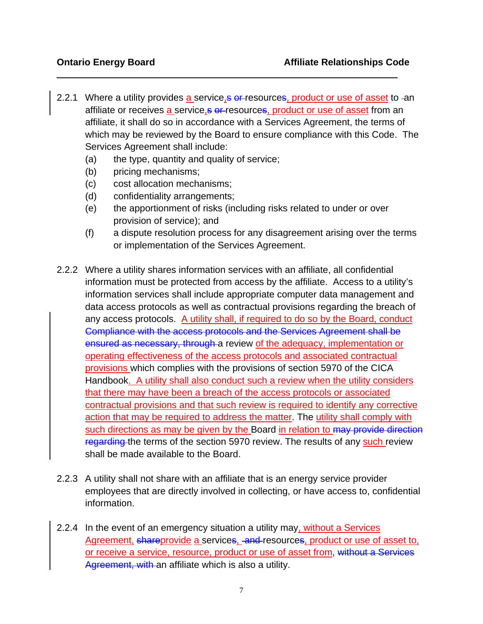- 2.2.1 Where a utility provides a service, s of resources, product or use of asset to -an affiliate or receives a service, s or resources, product or use of asset from an affiliate, it shall do so in accordance with a Services Agreement, the terms of which may be reviewed by the Board to ensure compliance with this Code. The Services Agreement shall include:
	- (a) the type, quantity and quality of service;
	- (b) pricing mechanisms;
	- (c) cost allocation mechanisms;
	- (d) confidentiality arrangements;
	- (e) the apportionment of risks (including risks related to under or over provision of service); and
	- (f) a dispute resolution process for any disagreement arising over the terms or implementation of the Services Agreement.
- 2.2.2 Where a utility shares information services with an affiliate, all confidential information must be protected from access by the affiliate. Access to a utility's information services shall include appropriate computer data management and data access protocols as well as contractual provisions regarding the breach of any access protocols. A utility shall, if required to do so by the Board, conduct Compliance with the access protocols and the Services Agreement shall be ensured as necessary, through a review of the adequacy, implementation or operating effectiveness of the access protocols and associated contractual provisions which complies with the provisions of section 5970 of the CICA Handbook. A utility shall also conduct such a review when the utility considers that there may have been a breach of the access protocols or associated contractual provisions and that such review is required to identify any corrective action that may be required to address the matter. The utility shall comply with such directions as may be given by the Board in relation to may provide direction regarding the terms of the section 5970 review. The results of any such review shall be made available to the Board.
- 2.2.3 A utility shall not share with an affiliate that is an energy service provider employees that are directly involved in collecting, or have access to, confidential information.
- 2.2.4 In the event of an emergency situation a utility may, without a Services Agreement, shareprovide a services, and resources, product or use of asset to, or receive a service, resource, product or use of asset from, without a Services Agreement, with an affiliate which is also a utility.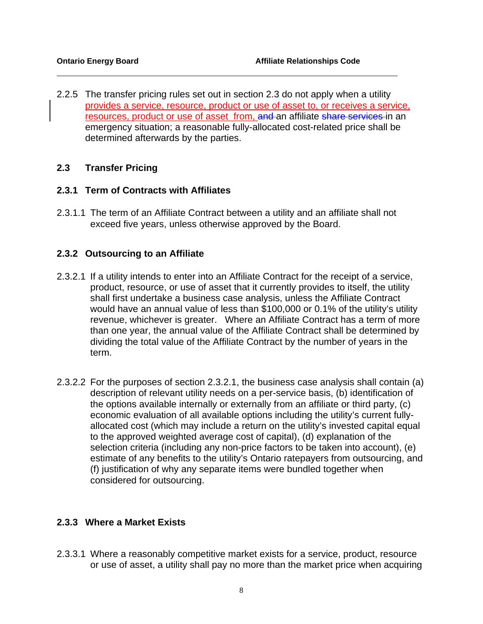2.2.5 The transfer pricing rules set out in section 2.3 do not apply when a utility provides a service, resource, product or use of asset to, or receives a service, resources, product or use of asset from, and an affiliate share services in an emergency situation; a reasonable fully-allocated cost-related price shall be determined afterwards by the parties.

#### **2.3 Transfer Pricing**

#### **2.3.1 Term of Contracts with Affiliates**

2.3.1.1 The term of an Affiliate Contract between a utility and an affiliate shall not exceed five years, unless otherwise approved by the Board.

#### **2.3.2 Outsourcing to an Affiliate**

- 2.3.2.1 If a utility intends to enter into an Affiliate Contract for the receipt of a service, product, resource, or use of asset that it currently provides to itself, the utility shall first undertake a business case analysis, unless the Affiliate Contract would have an annual value of less than \$100,000 or 0.1% of the utility's utility revenue, whichever is greater. Where an Affiliate Contract has a term of more than one year, the annual value of the Affiliate Contract shall be determined by dividing the total value of the Affiliate Contract by the number of years in the term.
- 2.3.2.2 For the purposes of section 2.3.2.1, the business case analysis shall contain (a) description of relevant utility needs on a per-service basis, (b) identification of the options available internally or externally from an affiliate or third party, (c) economic evaluation of all available options including the utility's current fullyallocated cost (which may include a return on the utility's invested capital equal to the approved weighted average cost of capital), (d) explanation of the selection criteria (including any non-price factors to be taken into account), (e) estimate of any benefits to the utility's Ontario ratepayers from outsourcing, and (f) justification of why any separate items were bundled together when considered for outsourcing.

#### **2.3.3 Where a Market Exists**

2.3.3.1 Where a reasonably competitive market exists for a service, product, resource or use of asset, a utility shall pay no more than the market price when acquiring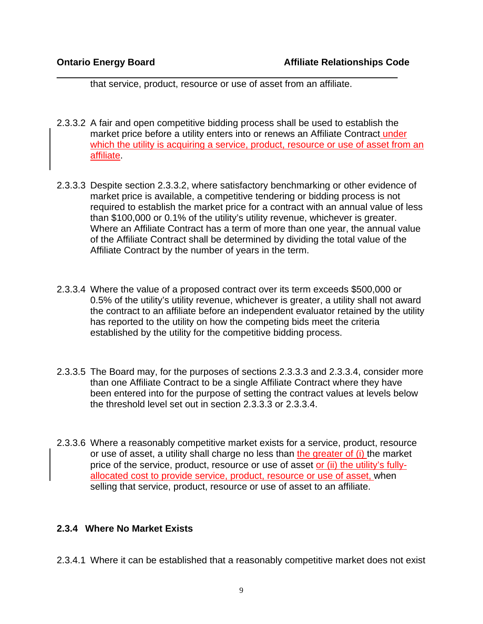that service, product, resource or use of asset from an affiliate.

- 2.3.3.2 A fair and open competitive bidding process shall be used to establish the market price before a utility enters into or renews an Affiliate Contract under which the utility is acquiring a service, product, resource or use of asset from an affiliate.
- 2.3.3.3 Despite section 2.3.3.2, where satisfactory benchmarking or other evidence of market price is available, a competitive tendering or bidding process is not required to establish the market price for a contract with an annual value of less than \$100,000 or 0.1% of the utility's utility revenue, whichever is greater. Where an Affiliate Contract has a term of more than one year, the annual value of the Affiliate Contract shall be determined by dividing the total value of the Affiliate Contract by the number of years in the term.
- 2.3.3.4 Where the value of a proposed contract over its term exceeds \$500,000 or 0.5% of the utility's utility revenue, whichever is greater, a utility shall not award the contract to an affiliate before an independent evaluator retained by the utility has reported to the utility on how the competing bids meet the criteria established by the utility for the competitive bidding process.
- 2.3.3.5 The Board may, for the purposes of sections 2.3.3.3 and 2.3.3.4, consider more than one Affiliate Contract to be a single Affiliate Contract where they have been entered into for the purpose of setting the contract values at levels below the threshold level set out in section 2.3.3.3 or 2.3.3.4.
- 2.3.3.6 Where a reasonably competitive market exists for a service, product, resource or use of asset, a utility shall charge no less than the greater of (i) the market price of the service, product, resource or use of asset or (ii) the utility's fullyallocated cost to provide service, product, resource or use of asset, when selling that service, product, resource or use of asset to an affiliate.

#### **2.3.4 Where No Market Exists**

2.3.4.1 Where it can be established that a reasonably competitive market does not exist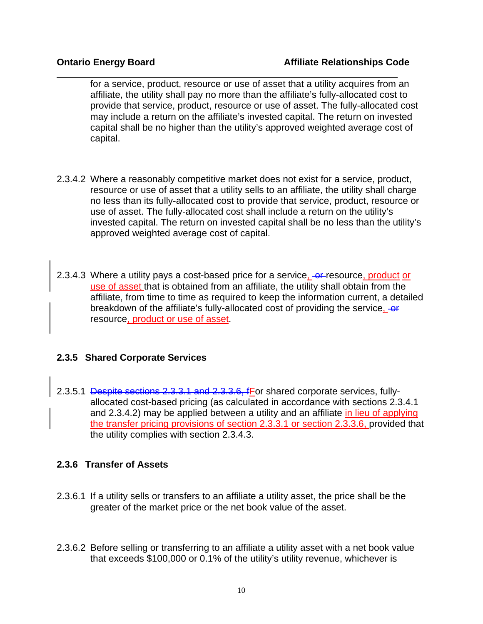for a service, product, resource or use of asset that a utility acquires from an affiliate, the utility shall pay no more than the affiliate's fully-allocated cost to provide that service, product, resource or use of asset. The fully-allocated cost may include a return on the affiliate's invested capital. The return on invested capital shall be no higher than the utility's approved weighted average cost of capital.

- 2.3.4.2 Where a reasonably competitive market does not exist for a service, product, resource or use of asset that a utility sells to an affiliate, the utility shall charge no less than its fully-allocated cost to provide that service, product, resource or use of asset. The fully-allocated cost shall include a return on the utility's invested capital. The return on invested capital shall be no less than the utility's approved weighted average cost of capital.
- 2.3.4.3 Where a utility pays a cost-based price for a service, or resource, product or use of asset that is obtained from an affiliate, the utility shall obtain from the affiliate, from time to time as required to keep the information current, a detailed breakdown of the affiliate's fully-allocated cost of providing the service, -or resource, product or use of asset.

## **2.3.5 Shared Corporate Services**

2.3.5.1 Despite sections 2.3.3.1 and 2.3.3.6, fFor shared corporate services, fullyallocated cost-based pricing (as calculated in accordance with sections 2.3.4.1 and 2.3.4.2) may be applied between a utility and an affiliate in lieu of applying the transfer pricing provisions of section 2.3.3.1 or section 2.3.3.6, provided that the utility complies with section 2.3.4.3.

#### **2.3.6 Transfer of Assets**

- 2.3.6.1 If a utility sells or transfers to an affiliate a utility asset, the price shall be the greater of the market price or the net book value of the asset.
- 2.3.6.2 Before selling or transferring to an affiliate a utility asset with a net book value that exceeds \$100,000 or 0.1% of the utility's utility revenue, whichever is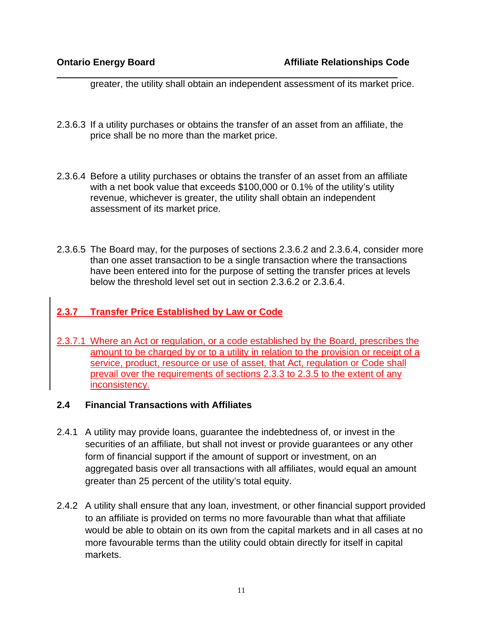greater, the utility shall obtain an independent assessment of its market price.

- 2.3.6.3 If a utility purchases or obtains the transfer of an asset from an affiliate, the price shall be no more than the market price.
- 2.3.6.4 Before a utility purchases or obtains the transfer of an asset from an affiliate with a net book value that exceeds \$100,000 or 0.1% of the utility's utility revenue, whichever is greater, the utility shall obtain an independent assessment of its market price.
- 2.3.6.5 The Board may, for the purposes of sections 2.3.6.2 and 2.3.6.4, consider more than one asset transaction to be a single transaction where the transactions have been entered into for the purpose of setting the transfer prices at levels below the threshold level set out in section 2.3.6.2 or 2.3.6.4.

## **2.3.7 Transfer Price Established by Law or Code**

2.3.7.1 Where an Act or regulation, or a code established by the Board, prescribes the amount to be charged by or to a utility in relation to the provision or receipt of a service, product, resource or use of asset, that Act, regulation or Code shall prevail over the requirements of sections 2.3.3 to 2.3.5 to the extent of any inconsistency.

#### **2.4 Financial Transactions with Affiliates**

- 2.4.1 A utility may provide loans, guarantee the indebtedness of, or invest in the securities of an affiliate, but shall not invest or provide guarantees or any other form of financial support if the amount of support or investment, on an aggregated basis over all transactions with all affiliates, would equal an amount greater than 25 percent of the utility's total equity.
- 2.4.2 A utility shall ensure that any loan, investment, or other financial support provided to an affiliate is provided on terms no more favourable than what that affiliate would be able to obtain on its own from the capital markets and in all cases at no more favourable terms than the utility could obtain directly for itself in capital markets.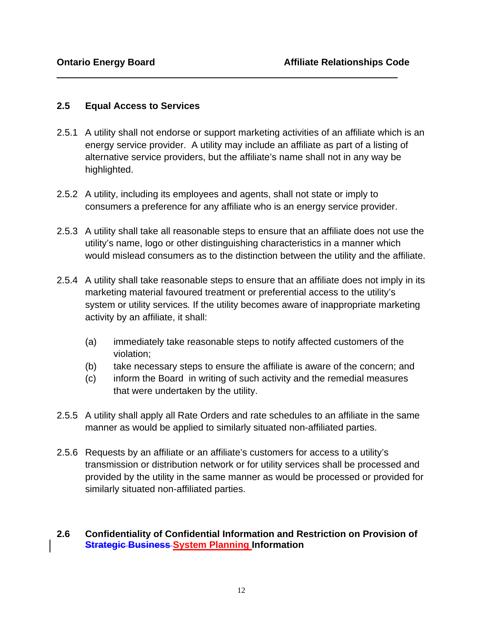#### **2.5 Equal Access to Services**

- 2.5.1 A utility shall not endorse or support marketing activities of an affiliate which is an energy service provider. A utility may include an affiliate as part of a listing of alternative service providers, but the affiliate's name shall not in any way be highlighted.
- 2.5.2 A utility, including its employees and agents, shall not state or imply to consumers a preference for any affiliate who is an energy service provider.
- 2.5.3 A utility shall take all reasonable steps to ensure that an affiliate does not use the utility's name, logo or other distinguishing characteristics in a manner which would mislead consumers as to the distinction between the utility and the affiliate.
- 2.5.4 A utility shall take reasonable steps to ensure that an affiliate does not imply in its marketing material favoured treatment or preferential access to the utility's system or utility services*.* If the utility becomes aware of inappropriate marketing activity by an affiliate, it shall:
	- (a) immediately take reasonable steps to notify affected customers of the violation;
	- (b) take necessary steps to ensure the affiliate is aware of the concern; and
	- (c) inform the Board in writing of such activity and the remedial measures that were undertaken by the utility.
- 2.5.5 A utility shall apply all Rate Orders and rate schedules to an affiliate in the same manner as would be applied to similarly situated non-affiliated parties.
- 2.5.6 Requests by an affiliate or an affiliate's customers for access to a utility's transmission or distribution network or for utility services shall be processed and provided by the utility in the same manner as would be processed or provided for similarly situated non-affiliated parties.

#### **2.6 Confidentiality of Confidential Information and Restriction on Provision of Strategic Business System Planning Information**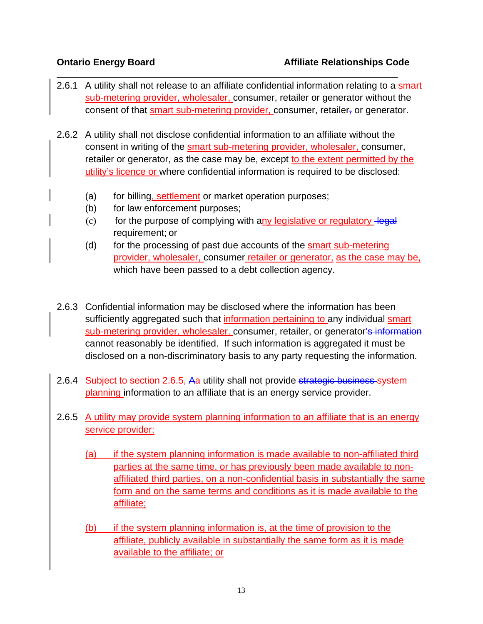- 2.6.1 A utility shall not release to an affiliate confidential information relating to a smart sub-metering provider, wholesaler, consumer, retailer or generator without the consent of that smart sub-metering provider, consumer, retailer, or generator.
- 2.6.2 A utility shall not disclose confidential information to an affiliate without the consent in writing of the smart sub-metering provider, wholesaler, consumer, retailer or generator, as the case may be, except to the extent permitted by the utility's licence or where confidential information is required to be disclosed:
	- (a) for billing, settlement or market operation purposes;
	- (b) for law enforcement purposes;
	- $(c)$  for the purpose of complying with any legislative or regulatory legal requirement; or
	- (d) for the processing of past due accounts of the smart sub-metering provider, wholesaler, consumer retailer or generator, as the case may be, which have been passed to a debt collection agency.
- 2.6.3 Confidential information may be disclosed where the information has been sufficiently aggregated such that information pertaining to any individual smart sub-metering provider, wholesaler, consumer, retailer, or generator's information cannot reasonably be identified. If such information is aggregated it must be disclosed on a non-discriminatory basis to any party requesting the information.
- 2.6.4 Subject to section 2.6.5, Aa utility shall not provide strategic business system planning information to an affiliate that is an energy service provider.
- 2.6.5 A utility may provide system planning information to an affiliate that is an energy service provider:
	- (a) if the system planning information is made available to non-affiliated third parties at the same time, or has previously been made available to nonaffiliated third parties, on a non-confidential basis in substantially the same form and on the same terms and conditions as it is made available to the affiliate;
	- (b) if the system planning information is, at the time of provision to the affiliate, publicly available in substantially the same form as it is made available to the affiliate; or